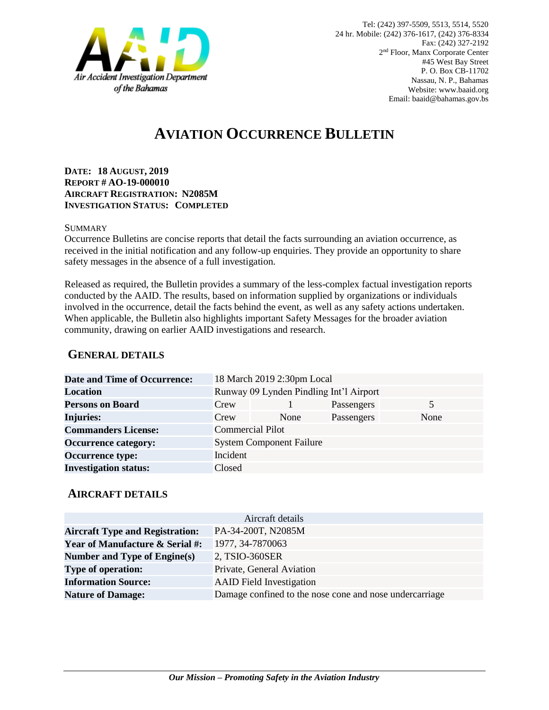

# **AVIATION OCCURRENCE BULLETIN**

**DATE: 18 AUGUST, 2019 REPORT # AO-19-000010 AIRCRAFT REGISTRATION: N2085M INVESTIGATION STATUS: COMPLETED**

#### **SUMMARY**

Occurrence Bulletins are concise reports that detail the facts surrounding an aviation occurrence, as received in the initial notification and any follow-up enquiries. They provide an opportunity to share safety messages in the absence of a full investigation*.*

Released as required, the Bulletin provides a summary of the less-complex factual investigation reports conducted by the AAID. The results, based on information supplied by organizations or individuals involved in the occurrence, detail the facts behind the event, as well as any safety actions undertaken. When applicable, the Bulletin also highlights important Safety Messages for the broader aviation community, drawing on earlier AAID investigations and research.

### **GENERAL DETAILS**

| <b>Date and Time of Occurrence:</b> |                                         | 18 March 2019 2:30pm Local |            |      |
|-------------------------------------|-----------------------------------------|----------------------------|------------|------|
| <b>Location</b>                     | Runway 09 Lynden Pindling Int'l Airport |                            |            |      |
| <b>Persons on Board</b>             | Crew                                    |                            | Passengers | 5    |
| <b>Injuries:</b>                    | Crew                                    | None                       | Passengers | None |
| <b>Commanders License:</b>          | <b>Commercial Pilot</b>                 |                            |            |      |
| <b>Occurrence category:</b>         | <b>System Component Failure</b>         |                            |            |      |
| <b>Occurrence type:</b>             | Incident                                |                            |            |      |
| <b>Investigation status:</b>        | Closed                                  |                            |            |      |

#### **AIRCRAFT DETAILS**

|                                            | Aircraft details                                        |
|--------------------------------------------|---------------------------------------------------------|
| <b>Aircraft Type and Registration:</b>     | PA-34-200T, N2085M                                      |
| <b>Year of Manufacture &amp; Serial #:</b> | 1977, 34-7870063                                        |
| Number and Type of Engine(s)               | 2, TSIO-360SER                                          |
| <b>Type of operation:</b>                  | Private, General Aviation                               |
| <b>Information Source:</b>                 | <b>AAID</b> Field Investigation                         |
| <b>Nature of Damage:</b>                   | Damage confined to the nose cone and nose undercarriage |